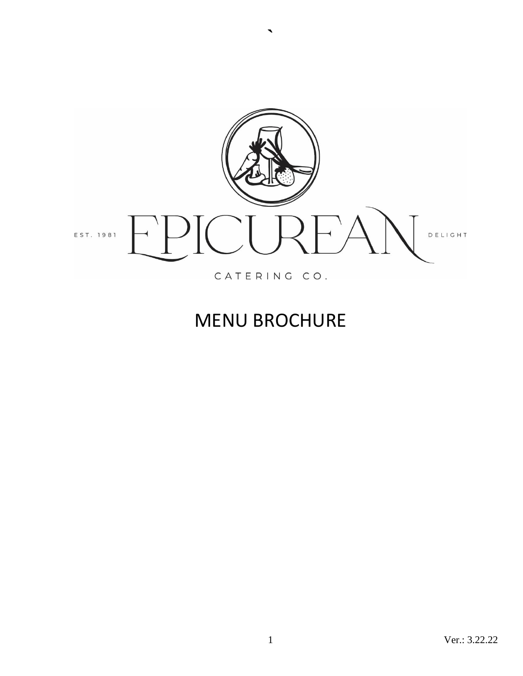

**`**

# MENU BROCHURE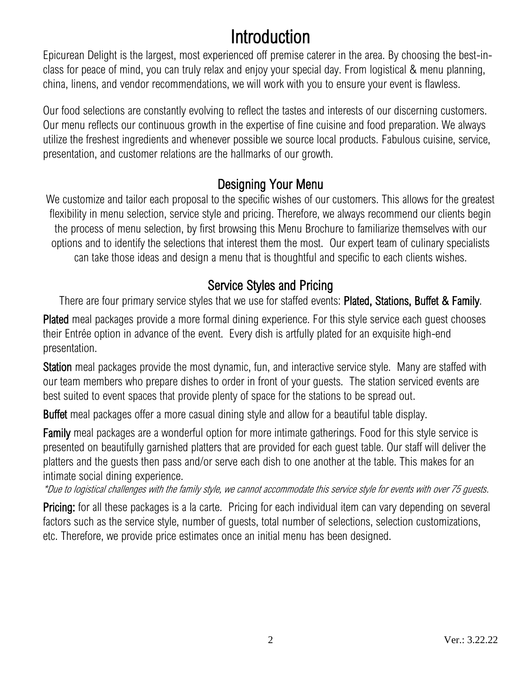# Introduction

Epicurean Delight is the largest, most experienced off premise caterer in the area. By choosing the best-inclass for peace of mind, you can truly relax and enjoy your special day. From logistical & menu planning, china, linens, and vendor recommendations, we will work with you to ensure your event is flawless.

Our food selections are constantly evolving to reflect the tastes and interests of our discerning customers. Our menu reflects our continuous growth in the expertise of fine cuisine and food preparation. We always utilize the freshest ingredients and whenever possible we source local products. Fabulous cuisine, service, presentation, and customer relations are the hallmarks of our growth.

### Designing Your Menu

We customize and tailor each proposal to the specific wishes of our customers. This allows for the greatest flexibility in menu selection, service style and pricing. Therefore, we always recommend our clients begin the process of menu selection, by first browsing this Menu Brochure to familiarize themselves with our options and to identify the selections that interest them the most. Our expert team of culinary specialists can take those ideas and design a menu that is thoughtful and specific to each clients wishes.

### Service Styles and Pricing

There are four primary service styles that we use for staffed events: Plated, Stations, Buffet & Family.

Plated meal packages provide a more formal dining experience. For this style service each guest chooses their Entrée option in advance of the event. Every dish is artfully plated for an exquisite high-end presentation.

Station meal packages provide the most dynamic, fun, and interactive service style. Many are staffed with our team members who prepare dishes to order in front of your guests. The station serviced events are best suited to event spaces that provide plenty of space for the stations to be spread out.

Buffet meal packages offer a more casual dining style and allow for a beautiful table display.

Family meal packages are a wonderful option for more intimate gatherings. Food for this style service is presented on beautifully garnished platters that are provided for each guest table. Our staff will deliver the platters and the guests then pass and/or serve each dish to one another at the table. This makes for an intimate social dining experience.

\*Due to logistical challenges with the family style, we cannot accommodate this service style for events with over 75 guests.

Pricing: for all these packages is a la carte. Pricing for each individual item can vary depending on several factors such as the service style, number of quests, total number of selections, selection customizations, etc. Therefore, we provide price estimates once an initial menu has been designed.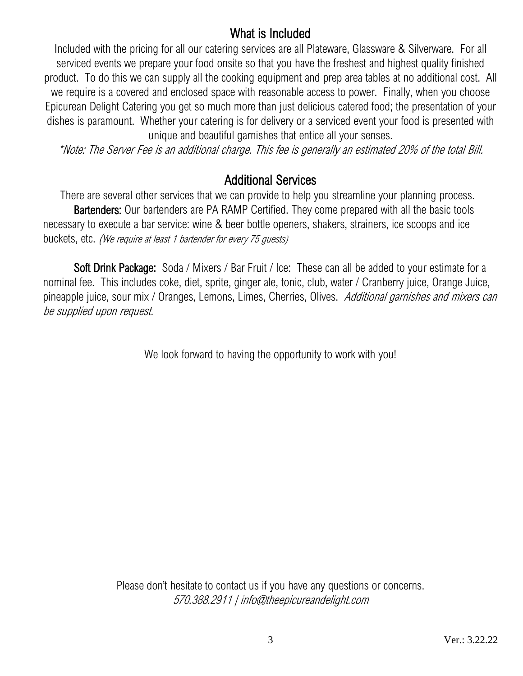### What is Included

Included with the pricing for all our catering services are all Plateware, Glassware & Silverware. For all serviced events we prepare your food onsite so that you have the freshest and highest quality finished product. To do this we can supply all the cooking equipment and prep area tables at no additional cost. All we require is a covered and enclosed space with reasonable access to power. Finally, when you choose Epicurean Delight Catering you get so much more than just delicious catered food; the presentation of your dishes is paramount. Whether your catering is for delivery or a serviced event your food is presented with unique and beautiful garnishes that entice all your senses.

\*Note: The Server Fee is an additional charge. This fee is generally an estimated 20% of the total Bill.

### Additional Services

There are several other services that we can provide to help you streamline your planning process. Bartenders: Our bartenders are PA RAMP Certified. They come prepared with all the basic tools necessary to execute a bar service: wine & beer bottle openers, shakers, strainers, ice scoops and ice buckets, etc. (We require at least 1 bartender for every 75 guests)

Soft Drink Package: Soda / Mixers / Bar Fruit / Ice: These can all be added to your estimate for a nominal fee. This includes coke, diet, sprite, ginger ale, tonic, club, water / Cranberry juice, Orange Juice, pineapple juice, sour mix / Oranges, Lemons, Limes, Cherries, Olives. Additional garnishes and mixers can be supplied upon request.

We look forward to having the opportunity to work with you!

Please don't hesitate to contact us if you have any questions or concerns. 570.388.2911 | info@theepicureandelight.com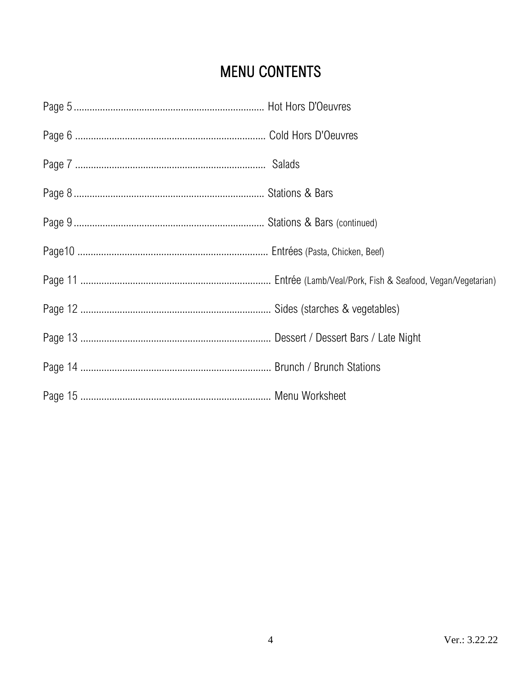## **MENU CONTENTS**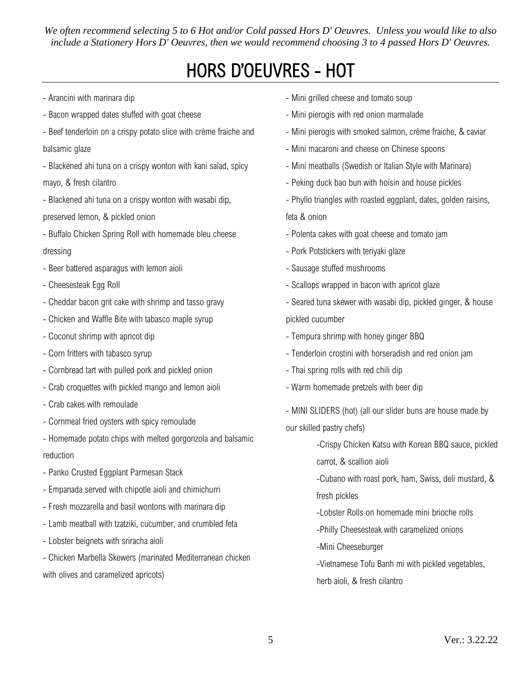*We often recommend selecting 5 to 6 Hot and/or Cold passed Hors D' Oeuvres. Unless you would like to also include a Stationery Hors D' Oeuvres, then we would recommend choosing 3 to 4 passed Hors D' Oeuvres.*

# HORS D'OEUVRES - HOT

- Arancini with marinara dip
- Bacon wrapped dates stuffed with goat cheese
- Beef tenderloin on a crispy potato slice with crème fraiche and balsamic glaze
- Blackened ahi tuna on a crispy wonton with kani salad, spicy mayo, & fresh cilantro
- Blackened ahi tuna on a crispy wonton with wasabi dip,
- preserved lemon, & pickled onion
- Buffalo Chicken Spring Roll with homemade bleu cheese dressing
- Beer battered asparagus with lemon aioli
- Cheesesteak Egg Roll
- Cheddar bacon grit cake with shrimp and tasso gravy
- Chicken and Waffle Bite with tabasco maple syrup
- Coconut shrimp with apricot dip
- Corn fritters with tabasco syrup
- Cornbread tart with pulled pork and pickled onion
- Crab croquettes with pickled mango and lemon aioli
- Crab cakes with remoulade
- Cornmeal fried oysters with spicy remoulade
- Homemade potato chips with melted gorgonzola and balsamic reduction
- Panko Crusted Eggplant Parmesan Stack
- Empanada served with chipotle aioli and chimichurri
- Fresh mozzarella and basil wontons with marinara dip
- Lamb meatball with tzatziki, cucumber, and crumbled feta
- Lobster beignets with sriracha aioli
- Chicken Marbella Skewers (marinated Mediterranean chicken with olives and caramelized apricots)
- Mini grilled cheese and tomato soup
- Mini pierogis with red onion marmalade
- Mini pierogis with smoked salmon, crème fraiche, & caviar
- Mini macaroni and cheese on Chinese spoons
- Mini meatballs (Swedish or Italian Style with Marinara)
- Peking duck bao bun with hoisin and house pickles
- Phyllo triangles with roasted eggplant, dates, golden raisins, feta & onion
- Polenta cakes with goat cheese and tomato jam
- Pork Potstickers with teriyaki glaze
- Sausage stuffed mushrooms
- Scallops wrapped in bacon with apricot glaze
- Seared tuna skewer with wasabi dip, pickled ginger, & house pickled cucumber
- Tempura shrimp with honey ginger BBQ
- Tenderloin crostini with horseradish and red onion jam
- Thai spring rolls with red chili dip
- Warm homemade pretzels with beer dip

- MINI SLIDERS (hot) (all our slider buns are house made by our skilled pastry chefs)

-Crispy Chicken Katsu with Korean BBQ sauce, pickled

carrot, & scallion aioli

-Cubano with roast pork, ham, Swiss, deli mustard, & fresh pickles

-Lobster Rolls on homemade mini brioche rolls

-Philly Cheesesteak with caramelized onions

- -Mini Cheeseburger
- -Vietnamese Tofu Banh mi with pickled vegetables, herb aioli, & fresh cilantro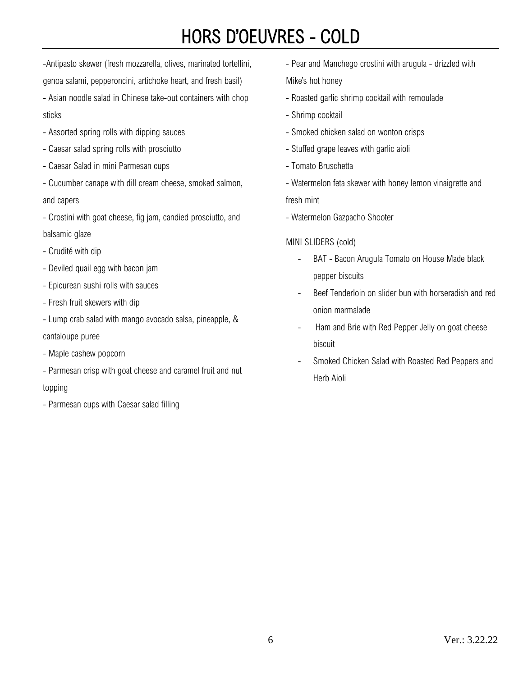# HORS D'OEUVRES - COLD

-Antipasto skewer (fresh mozzarella, olives, marinated tortellini, genoa salami, pepperoncini, artichoke heart, and fresh basil)

- Asian noodle salad in Chinese take-out containers with chop sticks

- Assorted spring rolls with dipping sauces
- Caesar salad spring rolls with prosciutto
- Caesar Salad in mini Parmesan cups
- Cucumber canape with dill cream cheese, smoked salmon, and capers
- Crostini with goat cheese, fig jam, candied prosciutto, and balsamic glaze
- Crudité with dip
- Deviled quail egg with bacon jam
- Epicurean sushi rolls with sauces
- Fresh fruit skewers with dip
- Lump crab salad with mango avocado salsa, pineapple, &

cantaloupe puree

- Maple cashew popcorn
- Parmesan crisp with goat cheese and caramel fruit and nut topping
- Parmesan cups with Caesar salad filling
- Pear and Manchego crostini with arugula drizzled with Mike's hot honey
- Roasted garlic shrimp cocktail with remoulade
- Shrimp cocktail
- Smoked chicken salad on wonton crisps
- Stuffed grape leaves with garlic aioli
- Tomato Bruschetta
- Watermelon feta skewer with honey lemon vinaigrette and fresh mint
- Watermelon Gazpacho Shooter

#### MINI SLIDERS (cold)

- BAT Bacon Arugula Tomato on House Made black pepper biscuits
- Beef Tenderloin on slider bun with horseradish and red onion marmalade
- Ham and Brie with Red Pepper Jelly on goat cheese biscuit
- Smoked Chicken Salad with Roasted Red Peppers and Herb Aioli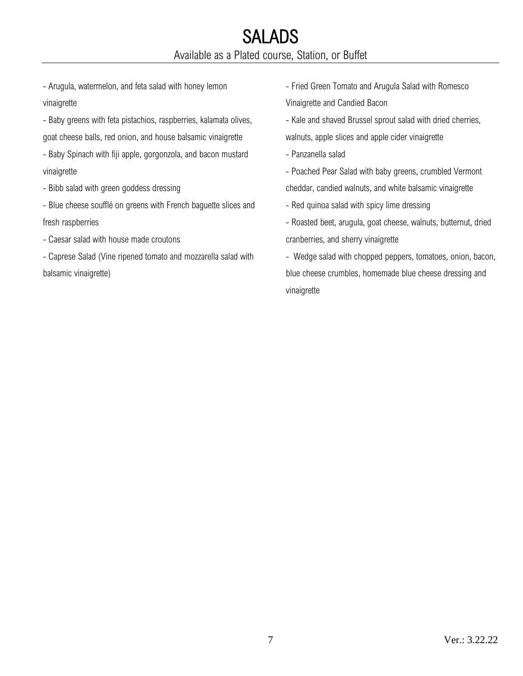- Arugula, watermelon, and feta salad with honey lemon vinaigrette

- Baby greens with feta pistachios, raspberries, kalamata olives, goat cheese balls, red onion, and house balsamic vinaigrette

- Baby Spinach with fiji apple, gorgonzola, and bacon mustard vinaigrette

- Bibb salad with green goddess dressing

- Blue cheese soufflé on greens with French baguette slices and fresh raspberries

- Caesar salad with house made croutons

- Caprese Salad (Vine ripened tomato and mozzarella salad with balsamic vinaigrette)

- Fried Green Tomato and Arugula Salad with Romesco Vinaigrette and Candied Bacon

- Kale and shaved Brussel sprout salad with dried cherries, walnuts, apple slices and apple cider vinaigrette

- Panzanella salad

- Poached Pear Salad with baby greens, crumbled Vermont cheddar, candied walnuts, and white balsamic vinaigrette

- Red quinoa salad with spicy lime dressing

- Roasted beet, arugula, goat cheese, walnuts, butternut, dried cranberries, and sherry vinaigrette

- Wedge salad with chopped peppers, tomatoes, onion, bacon, blue cheese crumbles, homemade blue cheese dressing and vinaigrette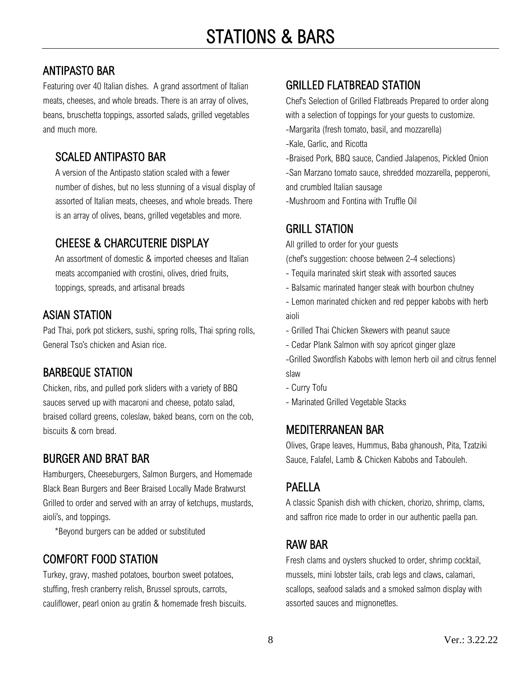### ANTIPASTO BAR

Featuring over 40 Italian dishes. A grand assortment of Italian meats, cheeses, and whole breads. There is an array of olives, beans, bruschetta toppings, assorted salads, grilled vegetables and much more.

### SCALED ANTIPASTO BAR

A version of the Antipasto station scaled with a fewer number of dishes, but no less stunning of a visual display of assorted of Italian meats, cheeses, and whole breads. There is an array of olives, beans, grilled vegetables and more.

### CHEESE & CHARCUTERIE DISPLAY

An assortment of domestic & imported cheeses and Italian meats accompanied with crostini, olives, dried fruits, toppings, spreads, and artisanal breads

### ASIAN STATION

Pad Thai, pork pot stickers, sushi, spring rolls, Thai spring rolls, General Tso's chicken and Asian rice.

### BARBEQUE STATION

Chicken, ribs, and pulled pork sliders with a variety of BBQ sauces served up with macaroni and cheese, potato salad, braised collard greens, coleslaw, baked beans, corn on the cob, biscuits & corn bread.

### BURGER AND BRAT BAR

Hamburgers, Cheeseburgers, Salmon Burgers, and Homemade Black Bean Burgers and Beer Braised Locally Made Bratwurst Grilled to order and served with an array of ketchups, mustards, aioli's, and toppings.

\*Beyond burgers can be added or substituted

### COMFORT FOOD STATION

Turkey, gravy, mashed potatoes, bourbon sweet potatoes, stuffing, fresh cranberry relish, Brussel sprouts, carrots, cauliflower, pearl onion au gratin & homemade fresh biscuits.

### GRILLED FLATBREAD STATION

Chef's Selection of Grilled Flatbreads Prepared to order along with a selection of toppings for your guests to customize.

- -Margarita (fresh tomato, basil, and mozzarella)
- -Kale, Garlic, and Ricotta
- -Braised Pork, BBQ sauce, Candied Jalapenos, Pickled Onion

-San Marzano tomato sauce, shredded mozzarella, pepperoni, and crumbled Italian sausage

-Mushroom and Fontina with Truffle Oil

### GRILL STATION

All grilled to order for your guests

(chef's suggestion: choose between 2-4 selections)

- Tequila marinated skirt steak with assorted sauces
- Balsamic marinated hanger steak with bourbon chutney
- Lemon marinated chicken and red pepper kabobs with herb aioli
- Grilled Thai Chicken Skewers with peanut sauce
- Cedar Plank Salmon with soy apricot ginger glaze

-Grilled Swordfish Kabobs with lemon herb oil and citrus fennel slaw

- Curry Tofu
- Marinated Grilled Vegetable Stacks

#### MEDITERRANEAN BAR

Olives, Grape leaves, Hummus, Baba ghanoush, Pita, Tzatziki Sauce, Falafel, Lamb & Chicken Kabobs and Tabouleh.

### PAELLA

A classic Spanish dish with chicken, chorizo, shrimp, clams, and saffron rice made to order in our authentic paella pan.

### RAW BAR

Fresh clams and oysters shucked to order, shrimp cocktail, mussels, mini lobster tails, crab legs and claws, calamari, scallops, seafood salads and a smoked salmon display with assorted sauces and mignonettes.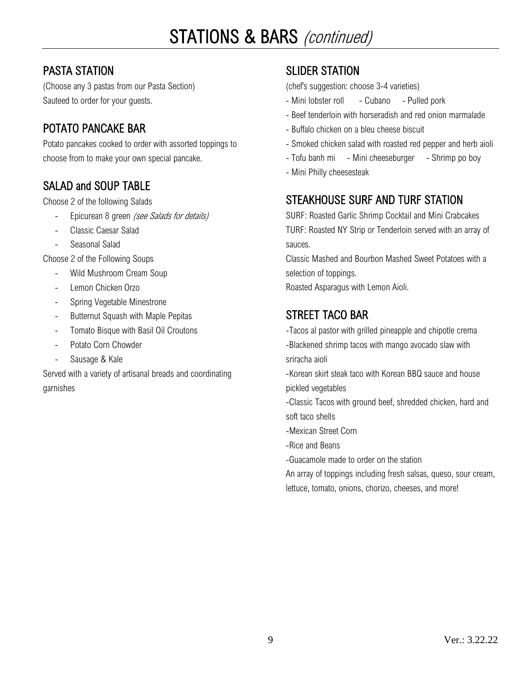### PASTA STATION

(Choose any 3 pastas from our Pasta Section) Sauteed to order for your guests.

### POTATO PANCAKE BAR

Potato pancakes cooked to order with assorted toppings to choose from to make your own special pancake.

### SALAD and SOUP TABLE

Choose 2 of the following Salads

- Epicurean 8 green (see Salads for details)
- Classic Caesar Salad
- Seasonal Salad

Choose 2 of the Following Soups

- Wild Mushroom Cream Soup
- Lemon Chicken Orzo
- Spring Vegetable Minestrone
- Butternut Squash with Maple Pepitas
- Tomato Bisque with Basil Oil Croutons
- Potato Corn Chowder
- Sausage & Kale

Served with a variety of artisanal breads and coordinating garnishes

### SLIDER STATION

(chef's suggestion: choose 3-4 varieties)

- Mini lobster roll Cubano Pulled pork
- Beef tenderloin with horseradish and red onion marmalade
- Buffalo chicken on a bleu cheese biscuit
- Smoked chicken salad with roasted red pepper and herb aioli
- Tofu banh mi Mini cheeseburger Shrimp po boy
- Mini Philly cheesesteak

### STEAKHOUSE SURF AND TURF STATION

SURF: Roasted Garlic Shrimp Cocktail and Mini Crabcakes TURF: Roasted NY Strip or Tenderloin served with an array of sauces.

Classic Mashed and Bourbon Mashed Sweet Potatoes with a selection of toppings.

Roasted Asparagus with Lemon Aioli.

### STREET TACO BAR

-Tacos al pastor with grilled pineapple and chipotle crema

-Blackened shrimp tacos with mango avocado slaw with sriracha aioli

-Korean skirt steak taco with Korean BBQ sauce and house pickled vegetables

-Classic Tacos with ground beef, shredded chicken, hard and soft taco shells

- -Mexican Street Corn
- -Rice and Beans

-Guacamole made to order on the station

An array of toppings including fresh salsas, queso, sour cream, lettuce, tomato, onions, chorizo, cheeses, and more!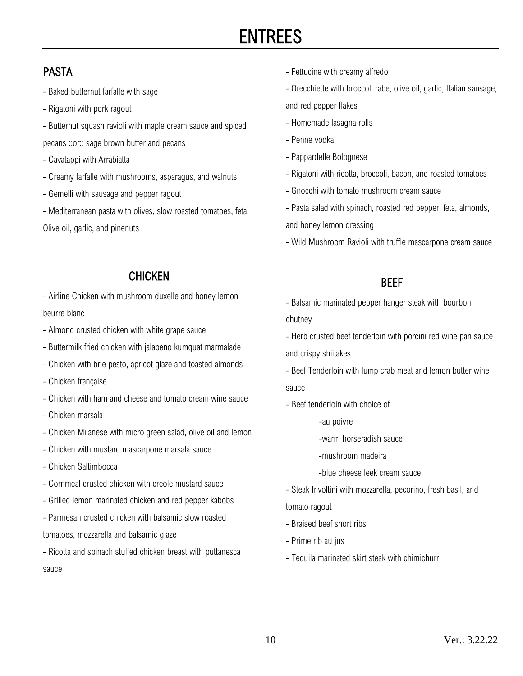# ENTREES

### PASTA

- Baked butternut farfalle with sage
- Rigatoni with pork ragout
- Butternut squash ravioli with maple cream sauce and spiced pecans ::or:: sage brown butter and pecans
- Cavatappi with Arrabiatta
- Creamy farfalle with mushrooms, asparagus, and walnuts
- Gemelli with sausage and pepper ragout
- Mediterranean pasta with olives, slow roasted tomatoes, feta, Olive oil, garlic, and pinenuts
	- CHICKEN

- Airline Chicken with mushroom duxelle and honey lemon beurre blanc

- Almond crusted chicken with white grape sauce
- Buttermilk fried chicken with jalapeno kumquat marmalade
- Chicken with brie pesto, apricot glaze and toasted almonds
- Chicken française
- Chicken with ham and cheese and tomato cream wine sauce
- Chicken marsala
- Chicken Milanese with micro green salad, olive oil and lemon
- Chicken with mustard mascarpone marsala sauce
- Chicken Saltimbocca
- Cornmeal crusted chicken with creole mustard sauce
- Grilled lemon marinated chicken and red pepper kabobs
- Parmesan crusted chicken with balsamic slow roasted tomatoes, mozzarella and balsamic glaze
- Ricotta and spinach stuffed chicken breast with puttanesca sauce
- Fettucine with creamy alfredo
- Orecchiette with broccoli rabe, olive oil, garlic, Italian sausage, and red pepper flakes
- Homemade lasagna rolls
- Penne vodka
- Pappardelle Bolognese
- Rigatoni with ricotta, broccoli, bacon, and roasted tomatoes
- Gnocchi with tomato mushroom cream sauce
- Pasta salad with spinach, roasted red pepper, feta, almonds, and honey lemon dressing
- Wild Mushroom Ravioli with truffle mascarpone cream sauce

#### **BFFF**

- Balsamic marinated pepper hanger steak with bourbon chutney
- Herb crusted beef tenderloin with porcini red wine pan sauce and crispy shiitakes
- Beef Tenderloin with lump crab meat and lemon butter wine sauce
- Beef tenderloin with choice of
	- -au poivre
	- -warm horseradish sauce
	- -mushroom madeira
	- -blue cheese leek cream sauce
- Steak Involtini with mozzarella, pecorino, fresh basil, and

tomato ragout

- Braised beef short ribs
- Prime rib au jus
- Tequila marinated skirt steak with chimichurri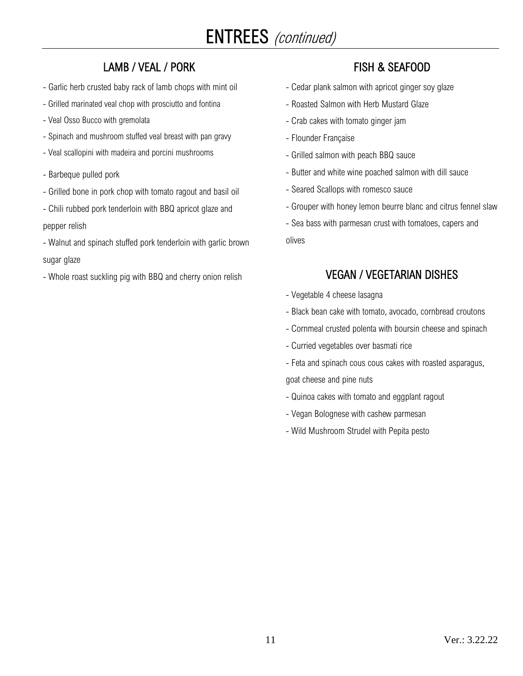# ENTREES (continued)

### LAMB / VEAL / PORK

- Garlic herb crusted baby rack of lamb chops with mint oil
- Grilled marinated veal chop with prosciutto and fontina
- Veal Osso Bucco with gremolata
- Spinach and mushroom stuffed veal breast with pan gravy
- Veal scallopini with madeira and porcini mushrooms
- Barbeque pulled pork
- Grilled bone in pork chop with tomato ragout and basil oil
- Chili rubbed pork tenderloin with BBQ apricot glaze and pepper relish
- Walnut and spinach stuffed pork tenderloin with garlic brown sugar glaze
- Whole roast suckling pig with BBQ and cherry onion relish

### FISH & SEAFOOD

- Cedar plank salmon with apricot ginger soy glaze
- Roasted Salmon with Herb Mustard Glaze
- Crab cakes with tomato ginger jam
- Flounder Française
- Grilled salmon with peach BBQ sauce
- Butter and white wine poached salmon with dill sauce
- Seared Scallops with romesco sauce
- Grouper with honey lemon beurre blanc and citrus fennel slaw
- Sea bass with parmesan crust with tomatoes, capers and olives

#### VEGAN / VEGETARIAN DISHES

- Vegetable 4 cheese lasagna
- Black bean cake with tomato, avocado, cornbread croutons
- Cornmeal crusted polenta with boursin cheese and spinach
- Curried vegetables over basmati rice
- Feta and spinach cous cous cakes with roasted asparagus,

goat cheese and pine nuts

- Quinoa cakes with tomato and eggplant ragout
- Vegan Bolognese with cashew parmesan
- Wild Mushroom Strudel with Pepita pesto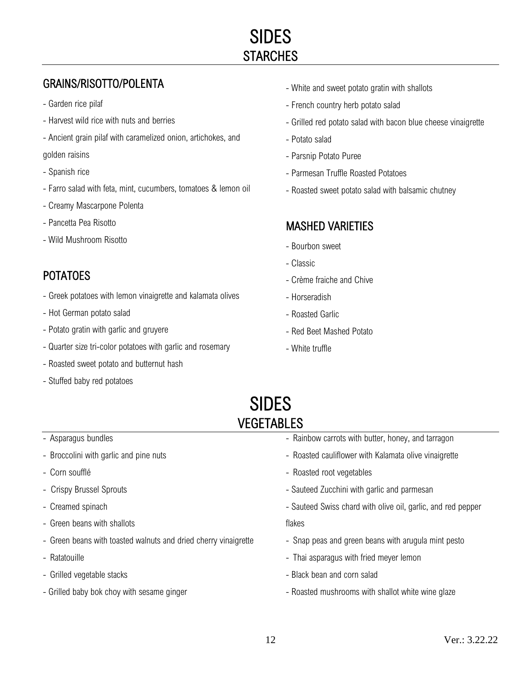### GRAINS/RISOTTO/POLENTA

- Garden rice pilaf
- Harvest wild rice with nuts and berries
- Ancient grain pilaf with caramelized onion, artichokes, and

#### golden raisins

- Spanish rice
- Farro salad with feta, mint, cucumbers, tomatoes & lemon oil
- Creamy Mascarpone Polenta
- Pancetta Pea Risotto
- Wild Mushroom Risotto

### POTATOES

- Greek potatoes with lemon vinaigrette and kalamata olives
- Hot German potato salad
- Potato gratin with garlic and gruyere
- Quarter size tri-color potatoes with garlic and rosemary
- Roasted sweet potato and butternut hash
- Stuffed baby red potatoes
- White and sweet potato gratin with shallots
- French country herb potato salad
- Grilled red potato salad with bacon blue cheese vinaigrette
- Potato salad
- Parsnip Potato Puree
- Parmesan Truffle Roasted Potatoes
- Roasted sweet potato salad with balsamic chutney

#### MASHED VARIETIES

- Bourbon sweet
- Classic
- Crème fraiche and Chive
- Horseradish
- Roasted Garlic
- Red Beet Mashed Potato
- White truffle

## SIDES VEGETABLES

- Asparagus bundles
- Broccolini with garlic and pine nuts
- Corn soufflé
- Crispy Brussel Sprouts
- Creamed spinach
- Green beans with shallots
- Green beans with toasted walnuts and dried cherry vinaigrette
- Ratatouille
- Grilled vegetable stacks
- Grilled baby bok choy with sesame ginger
- Rainbow carrots with butter, honey, and tarragon
- Roasted cauliflower with Kalamata olive vinaigrette
- Roasted root vegetables
- Sauteed Zucchini with garlic and parmesan
- Sauteed Swiss chard with olive oil, garlic, and red pepper

flakes

- Snap peas and green beans with arugula mint pesto
- Thai asparagus with fried meyer lemon
- Black bean and corn salad
- Roasted mushrooms with shallot white wine glaze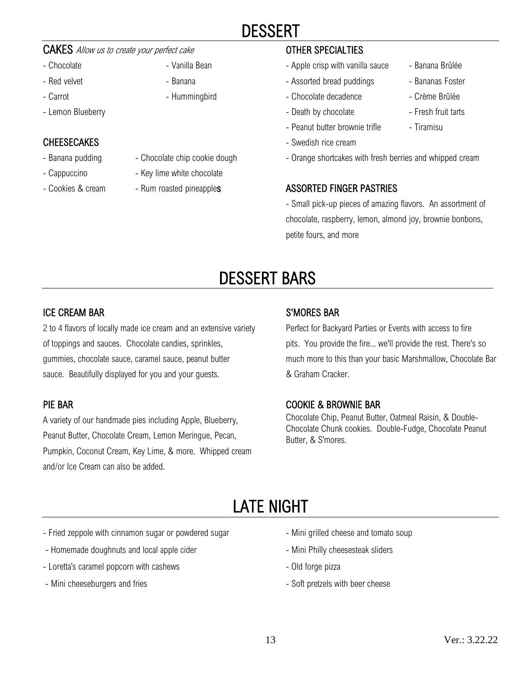## DESSERT

#### CAKES Allow us to create your perfect cake

- Chocolate  **Vanilla Bean**
- Red velvet Banana
- Carrot  **Hummingbird**
- Lemon Blueberry

#### **CHEESECAKES**

- 
- 
- 
- 
- Banana pudding Chocolate chip cookie dough
- Cappuccino  **Key lime white chocolate**
- Cookies & cream Rum roasted pineapples

#### OTHER SPECIALTIES

- Apple crisp with vanilla sauce Banana Brûlée
- Assorted bread puddings Bananas Foster
- Chocolate decadence Crème Brûlée
- Death by chocolate Fresh fruit tarts
- Peanut butter brownie trifle Tiramisu
- Swedish rice cream
- Orange shortcakes with fresh berries and whipped cream

#### ASSORTED FINGER PASTRIES

- Small pick-up pieces of amazing flavors. An assortment of chocolate, raspberry, lemon, almond joy, brownie bonbons, petite fours, and more

# DESSERT BARS

#### ICE CREAM BAR

2 to 4 flavors of locally made ice cream and an extensive variety of toppings and sauces. Chocolate candies, sprinkles, gummies, chocolate sauce, caramel sauce, peanut butter sauce. Beautifully displayed for you and your guests.

#### PIE BAR

j

A variety of our handmade pies including Apple, Blueberry, Peanut Butter, Chocolate Cream, Lemon Meringue, Pecan, Pumpkin, Coconut Cream, Key Lime, & more. Whipped cream and/or Ice Cream can also be added.

#### S'MORES BAR

Perfect for Backyard Parties or Events with access to fire pits. You provide the fire... we'll provide the rest. There's so much more to this than your basic Marshmallow, Chocolate Bar & Graham Cracker.

#### COOKIE & BROWNIE BAR

Chocolate Chip, Peanut Butter, Oatmeal Raisin, & Double-Chocolate Chunk cookies. Double-Fudge, Chocolate Peanut Butter, & S'mores.

# LATE NIGHT

- Fried zeppole with cinnamon sugar or powdered sugar
- Homemade doughnuts and local apple cider
- Loretta's caramel popcorn with cashews
- Mini cheeseburgers and fries
- Mini grilled cheese and tomato soup
- Mini Philly cheesesteak sliders
- Old forge pizza
- Soft pretzels with beer cheese
- 
- 
- 
- 
-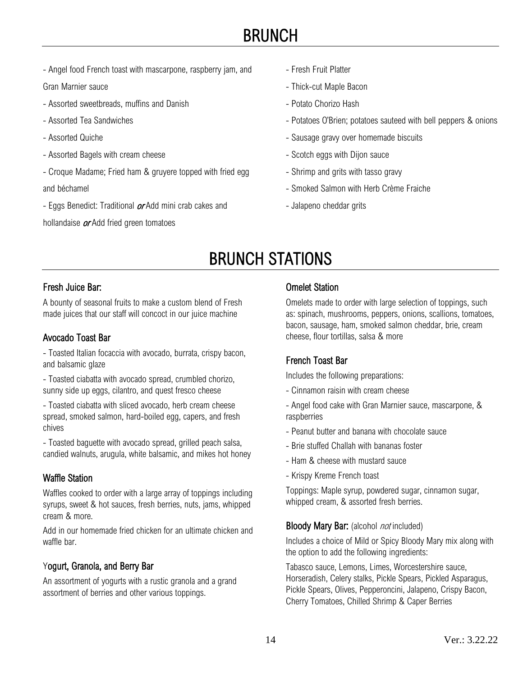## BRUNCH

- Angel food French toast with mascarpone, raspberry jam, and

Gran Marnier sauce

- Assorted sweetbreads, muffins and Danish
- Assorted Tea Sandwiches
- Assorted Quiche
- Assorted Bagels with cream cheese
- Croque Madame; Fried ham & gruyere topped with fried egg and béchamel
- Eggs Benedict: Traditional *or* Add mini crab cakes and

hollandaise  $\alpha$ Add fried green tomatoes

- Fresh Fruit Platter
- Thick-cut Maple Bacon
- Potato Chorizo Hash
- Potatoes O'Brien; potatoes sauteed with bell peppers & onions
- Sausage gravy over homemade biscuits
- Scotch eggs with Dijon sauce
- Shrimp and grits with tasso gravy
- Smoked Salmon with Herb Crème Fraiche
- Jalapeno cheddar grits

# BRUNCH STATIONS

#### Fresh Juice Bar:

A bounty of seasonal fruits to make a custom blend of Fresh made juices that our staff will concoct in our juice machine

#### Avocado Toast Bar

- Toasted Italian focaccia with avocado, burrata, crispy bacon, and balsamic glaze

- Toasted ciabatta with avocado spread, crumbled chorizo, sunny side up eggs, cilantro, and quest fresco cheese

- Toasted ciabatta with sliced avocado, herb cream cheese spread, smoked salmon, hard-boiled egg, capers, and fresh chives

- Toasted baguette with avocado spread, grilled peach salsa, candied walnuts, arugula, white balsamic, and mikes hot honey

#### Waffle Station

Waffles cooked to order with a large array of toppings including syrups, sweet & hot sauces, fresh berries, nuts, jams, whipped cream & more.

Add in our homemade fried chicken for an ultimate chicken and waffle bar.

#### Yogurt, Granola, and Berry Bar

An assortment of yogurts with a rustic granola and a grand assortment of berries and other various toppings.

#### Omelet Station

Omelets made to order with large selection of toppings, such as: spinach, mushrooms, peppers, onions, scallions, tomatoes, bacon, sausage, ham, smoked salmon cheddar, brie, cream cheese, flour tortillas, salsa & more

#### French Toast Bar

Includes the following preparations:

- Cinnamon raisin with cream cheese
- Angel food cake with Gran Marnier sauce, mascarpone, & raspberries
- Peanut butter and banana with chocolate sauce
- Brie stuffed Challah with bananas foster
- Ham & cheese with mustard sauce
- Krispy Kreme French toast

Toppings: Maple syrup, powdered sugar, cinnamon sugar, whipped cream, & assorted fresh berries.

#### Bloody Mary Bar: (alcohol *not* included)

Includes a choice of Mild or Spicy Bloody Mary mix along with the option to add the following ingredients:

Tabasco sauce, Lemons, Limes, Worcestershire sauce, Horseradish, Celery stalks, Pickle Spears, Pickled Asparagus, Pickle Spears, Olives, Pepperoncini, Jalapeno, Crispy Bacon, Cherry Tomatoes, Chilled Shrimp & Caper Berries